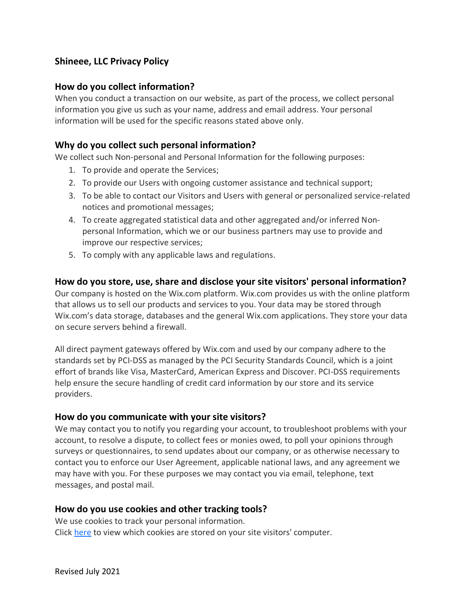# **Shineee, LLC Privacy Policy**

## **How do you collect information?**

When you conduct a transaction on our website, as part of the process, we collect personal information you give us such as your name, address and email address. Your personal information will be used for the specific reasons stated above only.

# **Why do you collect such personal information?**

We collect such Non-personal and Personal Information for the following purposes:

- 1. To provide and operate the Services;
- 2. To provide our Users with ongoing customer assistance and technical support;
- 3. To be able to contact our Visitors and Users with general or personalized service-related notices and promotional messages;
- 4. To create aggregated statistical data and other aggregated and/or inferred Nonpersonal Information, which we or our business partners may use to provide and improve our respective services;
- 5. To comply with any applicable laws and regulations.

# **How do you store, use, share and disclose your site visitors' personal information?**

Our company is hosted on the Wix.com platform. Wix.com provides us with the online platform that allows us to sell our products and services to you. Your data may be stored through Wix.com's data storage, databases and the general Wix.com applications. They store your data on secure servers behind a firewall.

All direct payment gateways offered by Wix.com and used by our company adhere to the standards set by PCI-DSS as managed by the PCI Security Standards Council, which is a joint effort of brands like Visa, MasterCard, American Express and Discover. PCI-DSS requirements help ensure the secure handling of credit card information by our store and its service providers.

#### **How do you communicate with your site visitors?**

We may contact you to notify you regarding your account, to troubleshoot problems with your account, to resolve a dispute, to collect fees or monies owed, to poll your opinions through surveys or questionnaires, to send updates about our company, or as otherwise necessary to contact you to enforce our User Agreement, applicable national laws, and any agreement we may have with you. For these purposes we may contact you via email, telephone, text messages, and postal mail.

#### **How do you use cookies and other tracking tools?**

We use cookies to track your personal information. Click [here](https://support.wix.com/en/article/cookies-and-your-wix-site) to view which cookies are stored on your site visitors' computer.